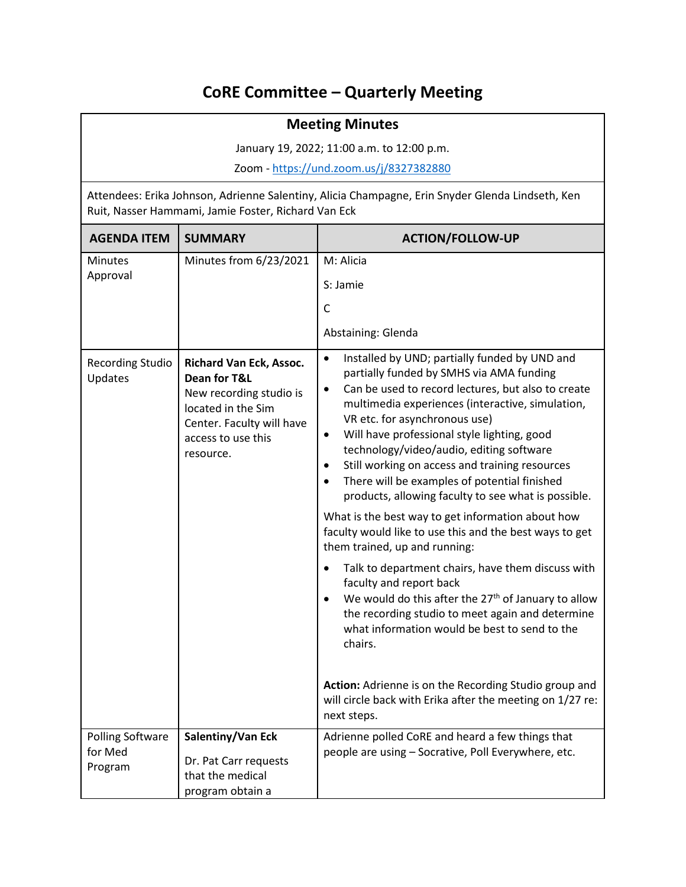## **CoRE Committee – Quarterly Meeting**

## **Meeting Minutes**

January 19, 2022; 11:00 a.m. to 12:00 p.m.

Zoom - <https://und.zoom.us/j/8327382880>

Attendees: Erika Johnson, Adrienne Salentiny, Alicia Champagne, Erin Snyder Glenda Lindseth, Ken Ruit, Nasser Hammami, Jamie Foster, Richard Van Eck

| <b>AGENDA ITEM</b>                 | <b>SUMMARY</b>                                                                                                                                           | <b>ACTION/FOLLOW-UP</b>                                                                                                                                                                                                                                                                                                                                                                                                                                                                                                                                                                                                                                                                                                                                                                                                                                                                                                                                                                                                                                                                                                         |
|------------------------------------|----------------------------------------------------------------------------------------------------------------------------------------------------------|---------------------------------------------------------------------------------------------------------------------------------------------------------------------------------------------------------------------------------------------------------------------------------------------------------------------------------------------------------------------------------------------------------------------------------------------------------------------------------------------------------------------------------------------------------------------------------------------------------------------------------------------------------------------------------------------------------------------------------------------------------------------------------------------------------------------------------------------------------------------------------------------------------------------------------------------------------------------------------------------------------------------------------------------------------------------------------------------------------------------------------|
| <b>Minutes</b><br>Approval         | Minutes from 6/23/2021                                                                                                                                   | M: Alicia                                                                                                                                                                                                                                                                                                                                                                                                                                                                                                                                                                                                                                                                                                                                                                                                                                                                                                                                                                                                                                                                                                                       |
|                                    |                                                                                                                                                          | S: Jamie                                                                                                                                                                                                                                                                                                                                                                                                                                                                                                                                                                                                                                                                                                                                                                                                                                                                                                                                                                                                                                                                                                                        |
|                                    |                                                                                                                                                          | C                                                                                                                                                                                                                                                                                                                                                                                                                                                                                                                                                                                                                                                                                                                                                                                                                                                                                                                                                                                                                                                                                                                               |
|                                    |                                                                                                                                                          | Abstaining: Glenda                                                                                                                                                                                                                                                                                                                                                                                                                                                                                                                                                                                                                                                                                                                                                                                                                                                                                                                                                                                                                                                                                                              |
| <b>Recording Studio</b><br>Updates | Richard Van Eck, Assoc.<br>Dean for T&L<br>New recording studio is<br>located in the Sim<br>Center. Faculty will have<br>access to use this<br>resource. | Installed by UND; partially funded by UND and<br>$\bullet$<br>partially funded by SMHS via AMA funding<br>Can be used to record lectures, but also to create<br>$\bullet$<br>multimedia experiences (interactive, simulation,<br>VR etc. for asynchronous use)<br>Will have professional style lighting, good<br>$\bullet$<br>technology/video/audio, editing software<br>Still working on access and training resources<br>$\bullet$<br>There will be examples of potential finished<br>$\bullet$<br>products, allowing faculty to see what is possible.<br>What is the best way to get information about how<br>faculty would like to use this and the best ways to get<br>them trained, up and running:<br>Talk to department chairs, have them discuss with<br>$\bullet$<br>faculty and report back<br>We would do this after the 27 <sup>th</sup> of January to allow<br>the recording studio to meet again and determine<br>what information would be best to send to the<br>chairs.<br>Action: Adrienne is on the Recording Studio group and<br>will circle back with Erika after the meeting on 1/27 re:<br>next steps. |
| <b>Polling Software</b>            | Salentiny/Van Eck                                                                                                                                        | Adrienne polled CoRE and heard a few things that                                                                                                                                                                                                                                                                                                                                                                                                                                                                                                                                                                                                                                                                                                                                                                                                                                                                                                                                                                                                                                                                                |
| for Med<br>Program                 | Dr. Pat Carr requests<br>that the medical<br>program obtain a                                                                                            | people are using - Socrative, Poll Everywhere, etc.                                                                                                                                                                                                                                                                                                                                                                                                                                                                                                                                                                                                                                                                                                                                                                                                                                                                                                                                                                                                                                                                             |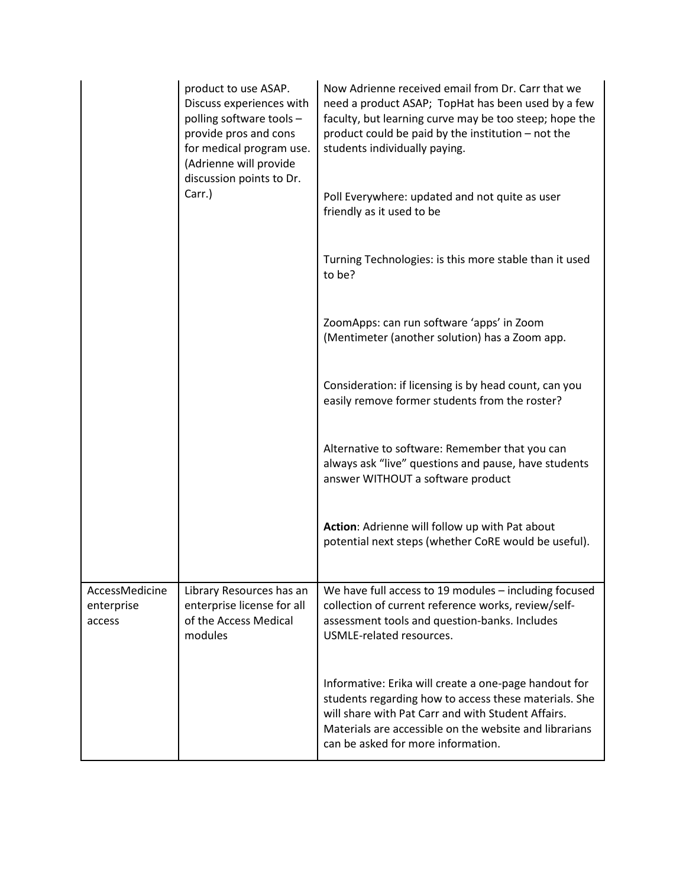|                                        | product to use ASAP.<br>Discuss experiences with<br>polling software tools -<br>provide pros and cons<br>for medical program use.<br>(Adrienne will provide<br>discussion points to Dr. | Now Adrienne received email from Dr. Carr that we<br>need a product ASAP; TopHat has been used by a few<br>faculty, but learning curve may be too steep; hope the<br>product could be paid by the institution - not the<br>students individually paying.             |
|----------------------------------------|-----------------------------------------------------------------------------------------------------------------------------------------------------------------------------------------|----------------------------------------------------------------------------------------------------------------------------------------------------------------------------------------------------------------------------------------------------------------------|
|                                        | Carr.)                                                                                                                                                                                  | Poll Everywhere: updated and not quite as user<br>friendly as it used to be                                                                                                                                                                                          |
|                                        |                                                                                                                                                                                         | Turning Technologies: is this more stable than it used<br>to be?                                                                                                                                                                                                     |
|                                        |                                                                                                                                                                                         | ZoomApps: can run software 'apps' in Zoom<br>(Mentimeter (another solution) has a Zoom app.                                                                                                                                                                          |
|                                        |                                                                                                                                                                                         | Consideration: if licensing is by head count, can you<br>easily remove former students from the roster?                                                                                                                                                              |
|                                        |                                                                                                                                                                                         | Alternative to software: Remember that you can<br>always ask "live" questions and pause, have students<br>answer WITHOUT a software product                                                                                                                          |
|                                        |                                                                                                                                                                                         | Action: Adrienne will follow up with Pat about<br>potential next steps (whether CoRE would be useful).                                                                                                                                                               |
| AccessMedicine<br>enterprise<br>access | Library Resources has an<br>enterprise license for all<br>of the Access Medical<br>modules                                                                                              | We have full access to 19 modules - including focused<br>collection of current reference works, review/self-<br>assessment tools and question-banks. Includes<br>USMLE-related resources.                                                                            |
|                                        |                                                                                                                                                                                         | Informative: Erika will create a one-page handout for<br>students regarding how to access these materials. She<br>will share with Pat Carr and with Student Affairs.<br>Materials are accessible on the website and librarians<br>can be asked for more information. |